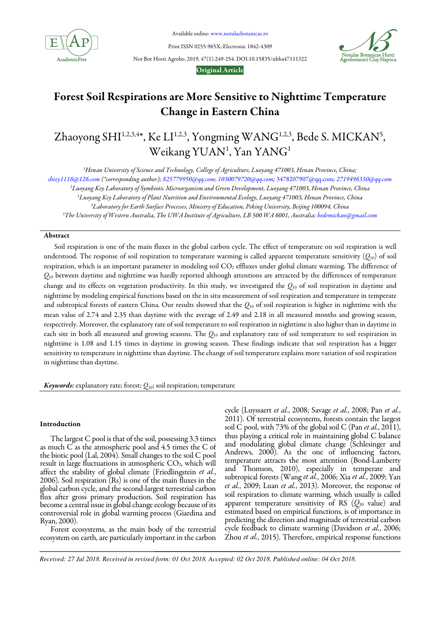

Available online: www.notulaebotanicae.ro

Print ISSN 0255-965X; Electronic 1842-4309

Not Bot Horti Agrobo, 2019, 47(1):249-254. DOI:10.15835/nbha47111322



Original Article

# Forest Soil Respirations are More Sensitive to Nighttime Temperature Change in Eastern China

Zhaoyong SHI<sup>1,2,3,4\*</sup>, Ke LI<sup>1,2,3</sup>, Yongming WANG<sup>1,2,3</sup>, Bede S. MICKAN<sup>5</sup>,  $\rm{Weikang\,YUAN^{1}, Yan\,YANG^{1}}$ 

*<sup>1</sup>Henan University of Science and Technology, College of Agriculture, Luoyang 471003, Henan Province, China;* 

*shizy1116@126.com (\*corresponding author); 825779950@qq.com*; *1030079720@qq.com;* 3478207907@qq.com*; 2719496330@qq.com*

*<sup>2</sup>Luoyang Key Laboratory of Symbiotic Microorganism and Green Development, Luoyang 471003, Henan Province, China* 

*<sup>3</sup>Luoyang Key Laboratory of Plant Nutrition and Environmental Ecology, Luoyang 471003, Henan Province, China* 

*<sup>4</sup>Laboratory for Earth Surface Processes, Ministry of Education, Peking University, Beijing 100094, China* 

*<sup>5</sup>The University of Western Australia, The UWA Institute of Agriculture, LB 500 WA 6001, Australia; bedemickan@gmail.com*

## Abstract

Soil respiration is one of the main fluxes in the global carbon cycle. The effect of temperature on soil respiration is well understood. The response of soil respiration to temperature warming is called apparent temperature sensitivity  $(Q_{10})$  of soil respiration, which is an important parameter in modeling soil CO<sub>2</sub> effluxes under global climate warming. The difference of  $Q_{10}$  between daytime and nighttime was hardly reported although attentions are attracted by the differences of temperature change and its effects on vegetation productivity. In this study, we investigated the *Q*10 of soil respiration in daytime and nighttime by modeling empirical functions based on the in situ measurement of soil respiration and temperature in temperate and subtropical forests of eastern China. Our results showed that the *Q*10 of soil respiration is higher in nighttime with the mean value of 2.74 and 2.35 than daytime with the average of 2.49 and 2.18 in all measured months and growing season, respectively. Moreover, the explanatory rate of soil temperature to soil respiration in nighttime is also higher than in daytime in each site in both all measured and growing seasons. The *Q*10 and explanatory rate of soil temperature to soil respiration in nighttime is 1.08 and 1.15 times in daytime in growing season. These findings indicate that soil respiration has a bigger sensitivity to temperature in nighttime than daytime. The change of soil temperature explains more variation of soil respiration in nighttime than daytime.

Keywords: explanatory rate; forest;  $Q_{10}$ ; soil respiration; temperature

## Introduction

The largest C pool is that of the soil, possessing 3.3 times as much C as the atmospheric pool and 4.5 times the C of the biotic pool (Lal, 2004). Small changes to the soil C pool result in large fluctuations in atmospheric CO<sub>2</sub>, which will affect the stability of global climate (Friedlingstein *et al.*, 2006). Soil respiration (Rs) is one of the main fluxes in the global carbon cycle, and the second-largest terrestrial carbon flux after gross primary production. Soil respiration has become a central issue in global change ecology because of its controversial role in global warming process (Giardina and Ryan, 2000).

Forest ecosystems, as the main body of the terrestrial ecosystem on earth, are particularly important in the carbon cycle (Luyssaert *et al.*, 2008; Savage *et al.*, 2008; Pan *et al.*, 2011). Of terrestrial ecosystems, forests contain the largest soil C pool, with 73% of the global soil C (Pan *et al.*, 2011), thus playing a critical role in maintaining global C balance and modulating global climate change (Schlesinger and Andrews, 2000). As the one of influencing factors, temperature attracts the most attention (Bond-Lamberty and Thomson, 2010), especially in temperate and subtropical forests (Wang *et al.*, 2006; Xia *et al.*, 2009; Yan *et al.*, 2009; Luan *et al.*, 2013). Moreover, the response of soil respiration to climate warming, which usually is called apparent temperature sensitivity of RS (*Q*<sup>10</sup> value) and estimated based on empirical functions, is of importance in predicting the direction and magnitude of terrestrial carbon cycle feedback to climate warming (Davidson *et al.*, 2006; Zhou *et al.*, 2015). Therefore, empirical response functions

*Received: 27 Jul 2018. Received in revised form: 01 Oct 2018. Accepted: 02 Oct 2018. Published online: 04 Oct 2018.*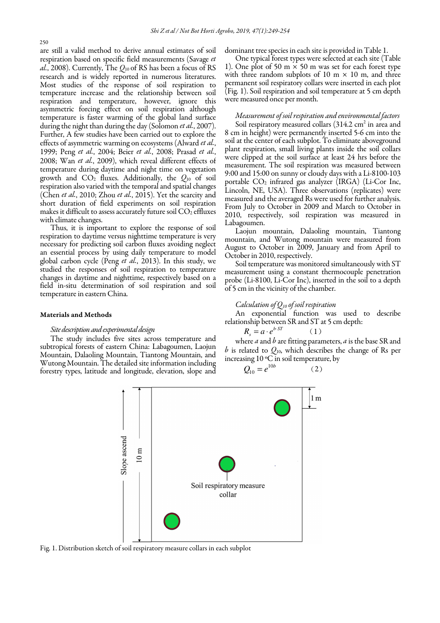are still a valid method to derive annual estimates of soil respiration based on specific field measurements (Savage *et al.*, 2008). Currently, The *Q*10 of RS has been a focus of RS research and is widely reported in numerous literatures. Most studies of the response of soil respiration to temperature increase and the relationship between soil respiration and temperature, however, ignore this asymmetric forcing effect on soil respiration although temperature is faster warming of the global land surface during the night than during the day (Solomon *et al.*, 2007). Further, A few studies have been carried out to explore the effects of asymmetric warming on ecosystems (Alward *et al.*, 1999; Peng *et al.*, 2004; Beier *et al.*, 2008; Prasad *et al.*, 2008; Wan *et al.*, 2009), which reveal different effects of temperature during daytime and night time on vegetation growth and  $CO<sub>2</sub>$  fluxes. Additionally, the  $Q<sub>10</sub>$  of soil respiration also varied with the temporal and spatial changes (Chen *et al.*, 2010; Zhou *et al.*, 2015). Yet the scarcity and short duration of field experiments on soil respiration makes it difficult to assess accurately future soil  $CO<sub>2</sub>$  effluxes with climate changes.

Thus, it is important to explore the response of soil respiration to daytime versus nighttime temperature is very necessary for predicting soil carbon fluxes avoiding neglect an essential process by using daily temperature to model global carbon cycle (Peng *et al.*, 2013). In this study, we studied the responses of soil respiration to temperature changes in daytime and nighttime, respectively based on a field in-situ determination of soil respiration and soil temperature in eastern China.

#### Materials and Methods

#### *Site description and experimental design*

The study includes five sites across temperature and subtropical forests of eastern China: Labagoumen, Laojun Mountain, Dalaoling Mountain, Tiantong Mountain, and Wutong Mountain. The detailed site information including forestry types, latitude and longitude, elevation, slope and dominant tree species in each site is provided in Table 1.

One typical forest types were selected at each site (Table 1). One plot of 50 m  $\times$  50 m was set for each forest type with three random subplots of 10 m  $\times$  10 m, and three permanent soil respiratory collars were inserted in each plot (Fig. 1). Soil respiration and soil temperature at 5 cm depth were measured once per month.

## *Measurement of soil respiration and environmental factors*

Soil respiratory measured collars  $(314.2 \text{ cm}^2 \text{ in area and})$ 8 cm in height) were permanently inserted 5-6 cm into the soil at the center of each subplot. To eliminate aboveground plant respiration, small living plants inside the soil collars were clipped at the soil surface at least 24 hrs before the measurement. The soil respiration was measured between 9:00 and 15:00 on sunny or cloudy days with a Li-8100-103 portable CO2 infrared gas analyzer (IRGA) (Li*-*Cor Inc, Lincoln, NE, USA). Three observations (replicates) were measured and the averaged Rs were used for further analysis. From July to October in 2009 and March to October in 2010, respectively, soil respiration was measured in Labagoumen.

Laojun mountain, Dalaoling mountain, Tiantong mountain, and Wutong mountain were measured from August to October in 2009, January and from April to October in 2010, respectively.

Soil temperature was monitored simultaneously with ST measurement using a constant thermocouple penetration probe (Li-8100, Li-Cor Inc), inserted in the soil to a depth of 5 cm in the vicinity of the chamber.

## *Calculation of Q10 of soil respiration*

An exponential function was used to describe relationship between SR and ST at 5 cm depth:

$$
R_s = a \cdot e^{b \cdot ST} \tag{1}
$$

where *a* and *b* are fitting parameters, *a* is the base SR and *b* is related to *Q*10, which describes the change of Rs per increasing 10 ºC in soil temperature, by

$$
Q_1 = e^{10b} \tag{2}
$$



Fig. 1. Distribution sketch of soil respiratory measure collars in each subplot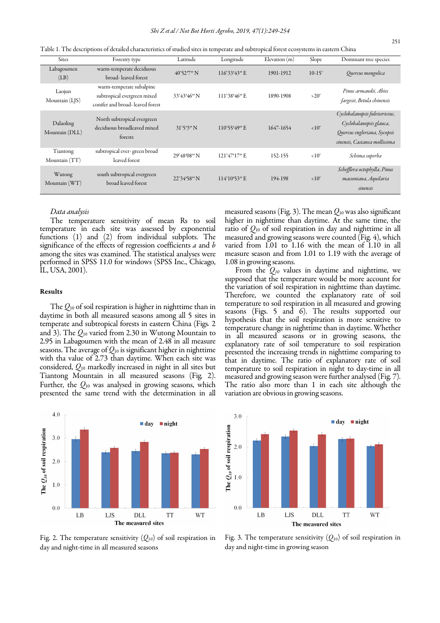Sites Forestry type Latitude Longitude Elevation (m) Slope Dominant tree species Labagoumen  $(LB)$ warm-temperate deciduous broad- leaved forest 40°52′7′′ N 116°33′43′′ E 1901-1912 10-15° Quercus mongolica Laojun Mountain (LJS) warm-temperate subalpine subtropical evergreen mixed conifer and broad- leaved forest 33°43′46″ N 111°38′46″ E 1890-1908 > 20° Pinus armandii, Abies fargesii, Betula chinensis Dalaoling Mountain (DLL) North subtropical evergreen deciduous broadleaved mixed forests 31°5′3″ N 110°55′49″ E 1647-1654 <10° Cyclobalanopsis fulvisericeus, Cyclobalanopsis glauca, Quercus engleriana, Sycopsis sinensis, Castanea mollissima Tiantong Mountain (TT) subtropical ever- green broad leaved forest 29°48′08″ N 121°47′17″ E 152-155 <10° Schima superba Wutong Mountain (WT) south subtropical evergreen broad leaved forest 22°34′58″ N 114°10′53″ E 194-198 <10° Schefflera octophylla, Pinus massoniana, Aquilaria sinensis

Table 1. The descriptions of detailed characteristics of studied sites in temperate and subtropical forest ecosystems in eastern China

## *Data analysis*

The temperature sensitivity of mean Rs to soil temperature in each site was assessed by exponential functions (1) and (2) from individual subplots. The significance of the effects of regression coefficients *a* and *b* among the sites was examined. The statistical analyses were performed in SPSS 11.0 for windows (SPSS Inc., Chicago, IL, USA, 2001).

#### Results

The *Q*10 of soil respiration is higher in nighttime than in daytime in both all measured seasons among all 5 sites in temperate and subtropical forests in eastern China (Figs*.* 2 and 3). The *Q*10 varied from 2.30 in Wutong Mountain to 2.95 in Labagoumen with the mean of 2.48 in all measure seasons. The average of  $Q_{10}$  is significant higher in nighttime with tha value of 2.73 than daytime. When each site was considered, *Q*<sup>10</sup> markedly increased in night in all sites but Tiantong Mountain in all measured seasons (Fig*.* 2). Further, the *Q*10 was analysed in growing seasons, which presented the same trend with the determination in all

 $4.0$  $\blacksquare$  day  $\n *night*\n$ The  $Q_{10}$  of soil respiration  $3.0$ 2.0  $1.0$  $0<sub>0</sub>$ LB LJS **DLL TT WT** The measured sites

Fig. 2. The temperature sensitivity  $(Q_{10})$  of soil respiration in day and night-time in all measured seasons

measured seasons (Fig. 3). The mean *Q*<sup>10</sup> was also significant higher in nighttime than daytime. At the same time, the ratio of *Q*10 of soil respiration in day and nighttime in all measured and growing seasons were counted (Fig. 4), which varied from 1.01 to 1.16 with the mean of 1.10 in all measure season and from 1.01 to 1.19 with the average of 1.08 in growing seasons.

From the *Q10* values in daytime and nighttime, we supposed that the temperature would be more account for the variation of soil respiration in nighttime than daytime. Therefore, we counted the explanatory rate of soil temperature to soil respiration in all measured and growing seasons (Figs. 5 and 6). The results supported our hypothesis that the soil respiration is more sensitive to temperature change in nighttime than in daytime. Whether in all measured seasons or in growing seasons, the explanatory rate of soil temperature to soil respiration presented the increasing trends in nighttime comparing to that in daytime. The ratio of explanatory rate of soil temperature to soil respiration in night to day-time in all measured and growing season were further analysed (Fig. 7). The ratio also more than 1 in each site although the variation are obvious in growing seasons.



Fig. 3. The temperature sensitivity  $(Q_{10})$  of soil respiration in day and night-time in growing season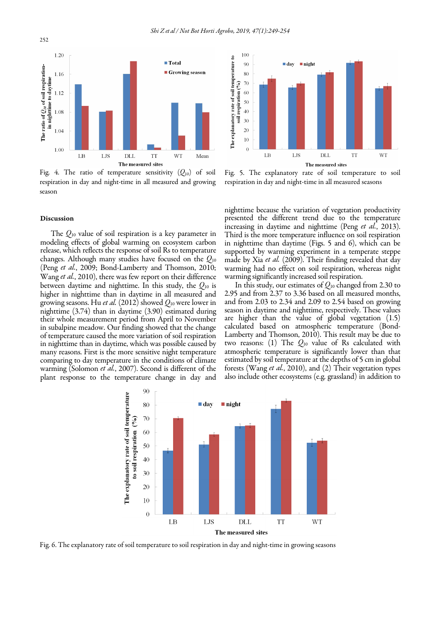

Fig. 4. The ratio of temperature sensitivity  $(Q_{10})$  of soil respiration in day and night-time in all measured and growing season



The *Q*<sup>10</sup> value of soil respiration is a key parameter in modeling effects of global warming on ecosystem carbon release, which reflects the response of soil Rs to temperature changes. Although many studies have focused on the *Q*<sup>10</sup> (Peng *et al.*, 2009; Bond-Lamberty and Thomson, 2010; Wang *et al.*, 2010), there was few report on their difference between daytime and nighttime. In this study, the *Q*<sup>10</sup> is higher in nighttime than in daytime in all measured and growing seasons. Hu *et al.* (2012) showed *Q*<sup>10</sup> were lower in nighttime (3.74) than in daytime (3.90) estimated during their whole measurement period from April to November in subalpine meadow. Our finding showed that the change of temperature caused the more variation of soil respiration in nighttime than in daytime, which was possible caused by many reasons. First is the more sensitive night temperature comparing to day temperature in the conditions of climate warming (Solomon *et al.*, 2007). Second is different of the plant response to the temperature change in day and



Fig. 5. The explanatory rate of soil temperature to soil respiration in day and night-time in all measured seasons

nighttime because the variation of vegetation productivity presented the different trend due to the temperature increasing in daytime and nighttime (Peng *et al.*, 2013). Third is the more temperature influence on soil respiration in nighttime than daytime (Figs. 5 and 6), which can be supported by warming experiment in a temperate steppe made by Xia *et al.* (2009). Their finding revealed that day warming had no effect on soil respiration, whereas night warming significantly increased soil respiration.

In this study, our estimates of *Q*<sup>10</sup> changed from 2.30 to 2.95 and from 2.37 to 3.36 based on all measured months, and from 2.03 to 2.34 and 2.09 to 2.54 based on growing season in daytime and nighttime, respectively. These values are higher than the value of global vegetation (1.5) calculated based on atmospheric temperature (Bond-Lamberty and Thomson, 2010). This result may be due to two reasons: (1) The *Q*10 value of Rs calculated with atmospheric temperature is significantly lower than that estimated by soil temperature at the depths of 5 cm in global forests (Wang *et al.*, 2010), and (2) Their vegetation types also include other ecosystems (e.g. grassland) in addition to



Fig. 6. The explanatory rate of soil temperature to soil respiration in day and night-time in growing seasons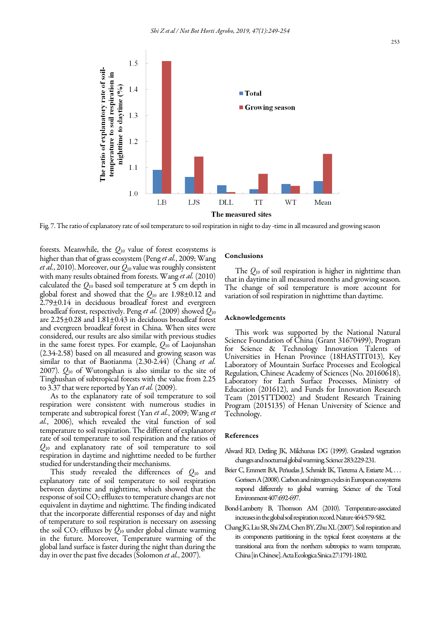

Fig. 7. The ratio of explanatory rate of soil temperature to soil respiration in night to day -time in all measured and growing season

 Tinghushan of subtropical forests with the value from 2.25 forests. Meanwhile, the *Q*<sup>10</sup> value of forest ecosystems is higher than that of grass ecosystem (Peng *et al.*, 2009; Wang *et al.*, 2010). Moreover, our *Q*<sup>10</sup> value was roughly consistent with many results obtained from forests. Wang *et al.* (2010) calculated the *Q*10 based soil temperature at 5 cm depth in global forest and showed that the *Q*<sup>10</sup> are 1.98±0.12 and 2.79±0.14 in deciduous broadleaf forest and evergreen broadleaf forest, respectively. Peng *et al.* (2009) showed *Q*<sup>10</sup> are 2.25±0.28 and 1.81±0.43 in deciduous broadleaf forest and evergreen broadleaf forest in China. When sites were considered, our results are also similar with previous studies in the same forest types. For example, *Q*<sup>10</sup> of Laojunshan (2.34-2.58) based on all measured and growing season was similar to that of Baotianma (2.30-2.44) (Chang *et al.* 2007). *Q*<sup>10</sup> of Wutongshan is also similar to the site of to 3.37 that were reported by Yan *et al.* (2009).

As to the explanatory rate of soil temperature to soil respiration were consistent with numerous studies in temperate and subtropical forest (Yan *et al.*, 2009; Wang *et al.*, 2006), which revealed the vital function of soil temperature to soil respiration. The different of explanatory rate of soil temperature to soil respiration and the ratios of *Q*<sup>10</sup> and explanatory rate of soil temperature to soil respiration in daytime and nighttime needed to be further studied for understanding their mechanisms.

This study revealed the differences of *Q*<sup>10</sup> and explanatory rate of soil temperature to soil respiration between daytime and nighttime, which showed that the response of soil CO<sup>2</sup> effluxes to temperature changes are not equivalent in daytime and nighttime. The finding indicated that the incorporate differential responses of day and night of temperature to soil respiration is necessary on assessing the soil  $CO<sub>2</sub>$  effluxes by  $\hat{Q}_{10}$  under global climate warming in the future. Moreover, Temperature warming of the global land surface is faster during the night than during the day in over the past five decades (Solomon *et al.*, 2007).

## Conclusions

The *Q*10 of soil respiration is higher in nighttime than that in daytime in all measured months and growing season. The change of soil temperature is more account for variation of soil respiration in nighttime than daytime.

#### Acknowledgements

This work was supported by the National Natural Science Foundation of China (Grant 31670499), Program for Science & Technology Innovation Talents of Universities in Henan Province (18HASTIT013), Key Laboratory of Mountain Surface Processes and Ecological Regulation, Chinese Academy of Sciences (No. 20160618), Laboratory for Earth Surface Processes, Ministry of Education (201612), and Funds for Innovation Research Team (2015TTD002) and Student Research Training Program (2015135) of Henan University of Science and Technology.

#### References

- Alward RD, Detling JK, Milchunas DG (1999). Grassland vegetation changes and nocturnal global warming. Science283:229-231.
- Beier C, Emmett BA, Peñuelas J, Schmidt IK, Tietema A, Estiarte M, . . . Gorissen A (2008). Carbon and nitrogen cycles in European ecosystems respond differently to global warming. Science of the Total Environment 407:692-697.
- Bond-Lamberty B, Thomson AM (2010). Temperature-associated increases in the global soil respiration record. Nature 464:579-582.
- Chang JG, Liu SR, Shi ZM, Chen BY, Zhu XL (2007). Soil respiration and its components partitioning in the typical forest ecosystems at the transitional area from the northern subtropics to warm temperate, China [in Chinese]. Acta Ecologica Sinica 27:1791-1802.